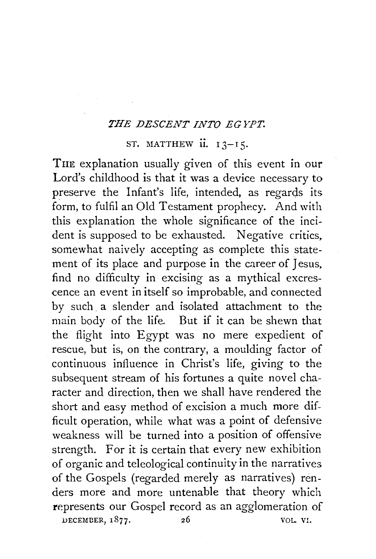## *THE DESCENT INTO EGYPT.*

## ST. MATTHEW  $ii. 13 - 15$ .

THE explanation usually given of this event in our Lord's childhood is that it was a device necessary to preserve the Infant's life, intended, as regards its form, to fulfil an Old Testament prophecy. And with this explanation the whole significance of the incident is supposed to be exhausted. Negative critics, somewhat naively accepting as complete this statement of its place and purpose in the career of Jesus, find no difficulty in excising as a mythical excrescence an event in itself so improbable, and connected by such a slender and isolated attachment to the main body of the life. But if it can be shewn that the flight into Egypt was no mere expedient of rescue, but is, on the contrary, a moulding factor of continuous influence in Christ's life, giving to the subsequent stream of his fortunes a quite novel character and direction, then we shall have rendered the short and easy method of excision a much more difficult operation, while what was a point of defensive weakness will be turned into a position of offensive strength. For it is certain that every new exhibition of organic and teleological continuity in the narratives of the Gospels (regarded merely as narratives) renders more and more untenable that theory which represents our Gospel record as an agglomeration of DECEMBER,  $1877.$  26 VOL. VI.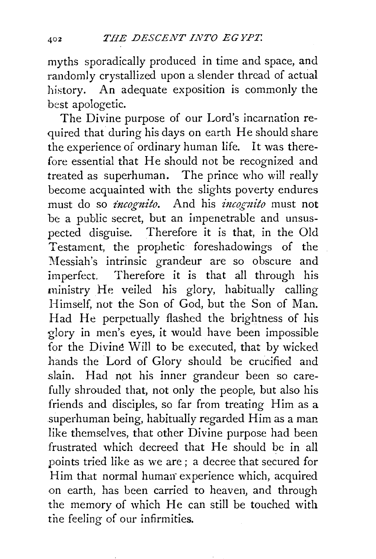myths sporadically produced in time and space, and randomly crystallized upon a slender thread of actual history. An adequate exposition is commonly the best apologetic.

The Divine purpose of our Lord's incarnation required that during his days on earth He should share the experience of ordinary human life. It was therefore essential that He should not be recognized and treated as superhuman. The prince who will really become acquainted with the slights poverty endures must do so *incognito.* And his *incognito* must not be a public secret, but an impenetrable and unsuspected disguise. Therefore it is that, in the Old Testament, the prophetic foreshadowings of the Messiah's intrinsic grandeur are so obscure and imperfect. Therefore it is that all through his ministry He veiled his glory, habitually calling Himself, not the Son of God, but the Son of Man. Had He perpetually flashed the brightness of his glory in men's eyes, it would have been impossible for the Divine Will to be executed, that by wicked hands the Lord of Glory should be crucified and slain. Had not his inner grandeur been so carefully shrouded that, not only the people, but also his friends and disciples, so far from treating Him as a superhuman being, habitually regarded Him as a man like themselves, that other Divine purpose had been frustrated which decreed that He should be in all points tried like as we are ; a decree that secured for Him that normal human experience which, acquired on earth, has been carried to heaven, and through the memory of which He can still be touched with the feeling of our infirmities.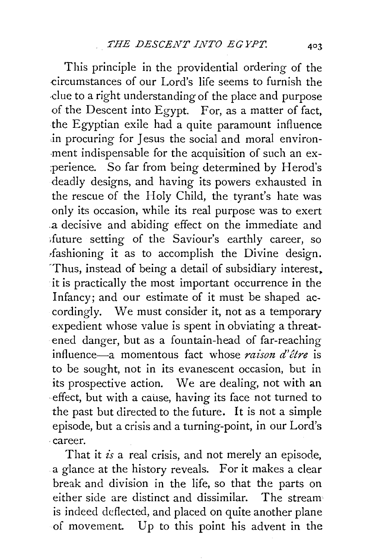This principle in the providential ordering of the -circumstances of our Lord's life seems to furnish the due to a right understanding of the place and purpose of the Descent into Egypt. For, as a matter of fact, the Egyptian exile had a quite paramount influence in procuring for Jesus the social and moral environ--ment indispensable for the acquisition of such an ex- :perience. So far from being determined by Herod's deadly designs, and having its powers exhausted in the rescue of the Holy Child, the tyrant's hate was only its occasion, while its real purpose was to exert .a decisive and abiding effect on the immediate and <future setting of the Saviour's earthly career, so ,fashioning it as to accomplish the Divine design. 'Thus, instead of being a detail of subsidiary interest. it is practically the most important occurrence in the Infancy; and our estimate of it must be shaped accordingly. We must consider it, not as a temporary expedient whose value is spent in obviating a threatened danger, but as a fountain-head of far-reaching influence-a momentous fact whose *raison d'etre* is to be sought, not in its evanescent occasion, but in its prospective action. We are dealing, not with an effect, but with a cause, having its face not turned to the past but directed to the future. It is not a simple episode, but a crisis and a turning-point, in our Lord's ·career.

That it *is* a real crisis, and not merely an episode, a glance at the history reveals. For it makes a clear break and division in the life, so that the parts on either side are distinct and dissimilar. The stream is indeed deflected, and placed on quite another plane of movement. Up to this point his advent in the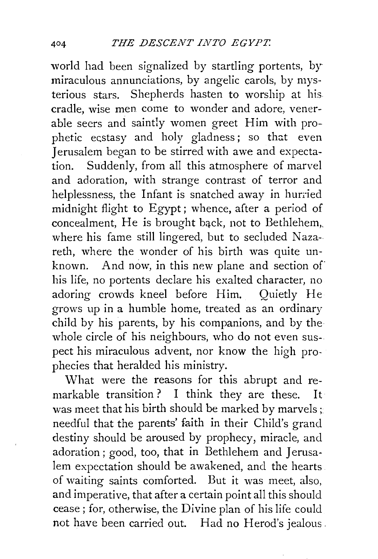world had been signalized by startling portents, *by*  miraculous annunciations, by angelic carols, by mysterious stars. Shepherds hasten to worship at his cradle, wise men come to wonder and adore, venerable seers and saintly women greet Him with prophetic ecstasy and holy gladness; so that even Jerusalem began to be stirred with awe and expectation. Suddenly, from all this atmosphere of marvel and adoration, with strange contrast of terror and helplessness, the Infant is snatched away in hurried midnight flight to Egypt; whence, after a period of concealment, He is brought bqck, not to Bethlehem,, where his fame still lingered, but to secluded Nazareth, where the wonder of his birth was quite unknown. And now, in this new plane and section of his life, no portents declare his exalted character, no adoring crowds kneel before Him. Quietly He grows up in a humble home, treated as an ordinary child by his parents, by his companions, and by the whole circle of his neighbours, who do not even suspect his miraculous advent, nor know the high prophecies that heralded his ministry.

What were the reasons for this abrupt and remarkable transition ? I think they are these. It was meet that his birth should be marked by marvels ; needful that the parents' faith in their Child's grand destiny should be aroused by prophecy, miracle, and adoration; good, too, that in Bethlehem and Jerusalem expectation should be awakened, and the hearts of waiting saints comforted. But it was meet, also, and imperative, that after a certain point all this should cease ; for, otherwise, the Divine plan of his life could not have been carried out. Had no Herod's jealous.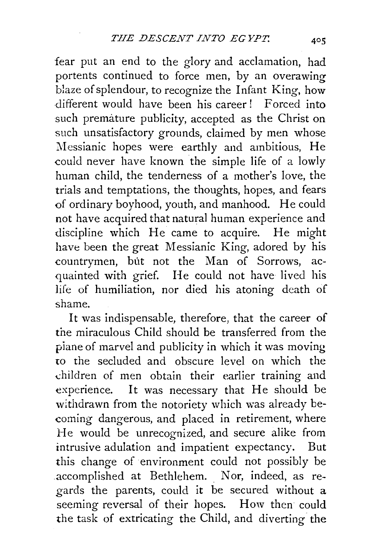fear put an end to the glory and acclamation, had portents continued to force men, by an overawing blaze of splendour, to recognize the Infant King, how different would have been his career! Forced into such premature publicity, accepted as the Christ on such unsatisfactory grounds, claimed by men whose Messianic hopes were earthly and ambitious, He could never have known the simple life of a lowly human child, the tenderness of a mother's love, the trials and temptations, the thoughts, hopes, and fears of ordinary boyhood, youth, and manhood. He could not have acquired that natural human experience and discipline which He came to acquire. He might have been the great Messianic King, adored by his countrymen, but not the Man of Sorrows, acquainted with grief. He could not have lived his life of humiliation, nor died his atoning death of shame.

It was indispensable, therefore, that the career of the miraculous Child should be transferred from the piane of marvel and publicity in which it was moving to the secluded and obscure level on which the children of men obtain their earlier training and experience. It was necessary that He should be withdrawn from the notoriety which was already becoming dangerous, and placed in retirement, where He would be unrecognized, and secure alike from intrusive adulation and impatient expectancy. But this change of environment could not possibly be accomplished at Bethlehem. Nor, indeed, as regards the parents, could it be secured without a seeming reversal of their hopes. How then could the task of extricating the Child, and diverting the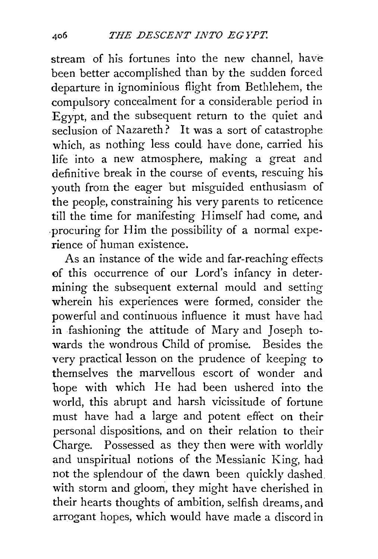stream of his fortunes into the new channel, have been better accomplished than by the sudden forced departure in ignominious flight from Bethlehem, the compulsory concealment for a considerable period in Egypt, and the subsequent return to the quiet and seclusion of Nazareth? It was a sort of catastrophe which, as nothing less could have done, carried his life into a new atmosphere, making a great and definitive break in the course of events, rescuing his youth from the eager but misguided enthusiasm of the people, constraining his very parents to reticence till the time for manifesting Himself had come, and .procuring for Him the possibility of a normal experience of human existence.

As an instance of the wide and far-reaching effects of this occurrence of our Lord's infancy in determining the subsequent external mould and setting wherein his experiences were formed, consider the powerful and continuous influence it must have had in fashioning the attitude of Mary and Joseph towards the wondrous Child of promise. Besides the very practical lesson on the prudence of keeping to themselves the marvellous escort of wonder and bope with which He had been ushered into the world, this abrupt and harsh vicissitude of fortune must have had a large and potent effect on their personal dispositions, and on their relation to their Charge. Possessed as they then were with worldly and unspiritual notions of the Messianic King, had not the splendour of the dawn been quickly dashed with storm and gloom, they might have cherished in their hearts thoughts of ambition, selfish dreams, and arrogant hopes, which would have made a discord in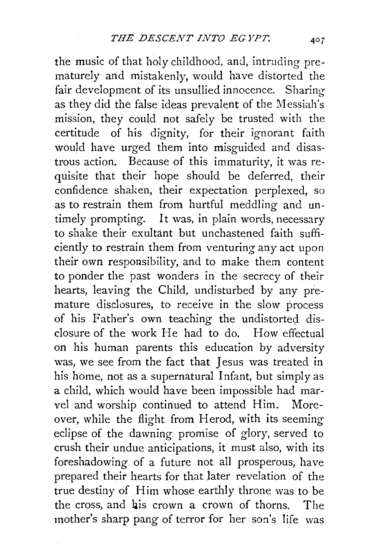the music of that holy childhood, and, intruding prematurely and mistakenly, wonld have distorted the fair development of its unsullied innocence. Sharing as they did the false ideas prevalent of the Messiah's mission, they could not safely be trusted with the certitude of his dignity, for their ignorant faith would have urged them into misguided and disastrous action. Because of this immaturity, it was requisite that their hope should be deferred, their confidence shaken, their expectation perplexed, so as to restrain them from hurtful meddling and untimely prompting. It was, in plain words, necessary to shake their exultant but unchastened faith sufficiently to restrain them from venturing any act upon their own responsibility, and to make them content to ponder the past wonders in the secrecy of their hearts, leaving the Child, undisturbed by any premature disclosures, to receive in the slow process of his Father's own teaching the undistorted disclosure of the work He had to do. How effectual on his human parents this education by adversity was, we see from the fact that Jesus was treated in his home, not as a supernatural Infant, but simply as a child, which would have been impossible had marvel and worship continued to attend Him. Moreover, while the flight from Herod, with its seeming eclipse of the dawning promise of glory, served to crush their undue anticipations, it must also, with its foreshadowing of a future not all prosperous, have prepared their hearts for that *)ater* revelation of the true destiny of Him whose earthly throne was to be the cross, and bis crown a crown of thorns. The mother's sharp pang of terror for her son's life was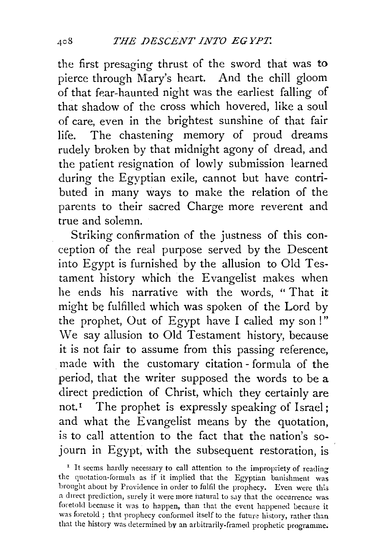the first presaging thrust of the sword that was to pierce through Mary's heart. And the chill gloom of that fear-haunted night was the earliest falling of that shadow of the cross which hovered, like a soul of care, even in the brightest sunshine of that fair life. The chastening memory of proud dreams rudely broken by that midnight agony of dread, and the patient resignation of lowly submission learned during the Egyptian exile, cannot but have contributed in many ways to make the relation of the parents to their sacred Charge more reverent and true and solemn.

Striking confirmation of the justness of this conception of the real purpose served by the Descent into Egypt is furnished by the allusion to Old Testament history which the Evangelist makes when he ends his narrative with the words, " That it might be fulfilled which was spoken of the Lord by the prophet, Out of Egypt have I called my son!" We say allusion to Old Testament history, because it is not fair to assume from this passing reference, made with the customary citation-formula of the period, that the writer supposed the words to be a direct prediction of Christ, which they certainly are not.<sup>1</sup> The prophet is expressly speaking of Israel; and what the Evangelist means by the quotation, is to call attention to the fact that the nation's sojourn in Egypt, with the subsequent restoration, is

 $1$  It seems hardly necessary to call attention to the impropriety of reading the quotation-formuh as if it implied that the Egyptian banishment was brought about by Providence in order to fulfil the prophecy. Even were this a direct prediction, surely it were more natural to say that the occurrence was foretold because it was to happen, than that the event happened because it was foretold ; that prophecy conformed itself to the future history, rather than that the history was determined by an arbitrarily-framed prophetic programme;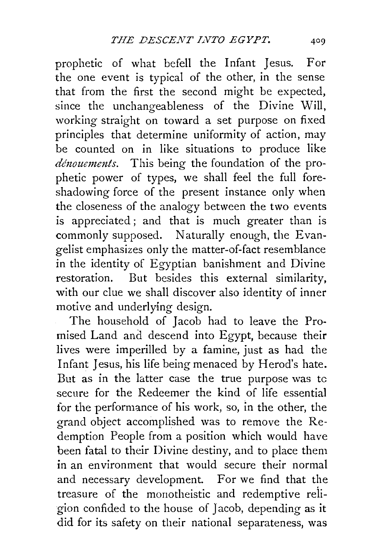prophetic of what befell the Infant Jesus. For the one event is typical of the other, in the sense that from the first the second might be expected, since the unchangeableness of the Divine Will, working straight on toward a set purpose on fixed principles that determine uniformity of action, may be counted on in like situations to produce like *dénouements*. This being the foundation of the prophetic power of types, we shall feel the full foreshadowing force of the present instance only when the closeness of the analogy between the two events is appreciated ; and that is much greater than is commonly supposed. Naturally enough, the Evangelist emphasizes only the matter-of-fact resemblance in the identity of Egyptian banishment and Divine restoration. But besides this external similarity, with our clue we shall discover also identity of inner motive and underlying design.

The household of Jacob had to leave the Promised Land and descend into Egypt, because their lives were imperilled by a famine, just as had the Infant Jesus, his life being menaced by Herod's hate. But as in the latter case the true purpose was tc secure for the Redeemer the kind of life essential for the performance of his work, so, in the other, the grand object accomplished was to remove the Redemption People from a position which would have been fatal to their Divine destiny, and to place them in an environment that would secure their normal and necessary development. For we find that the treasure of the monotheistic and redemptive reiigion confided to the house of Jacob, depending as it did for its safety on their national separateness, was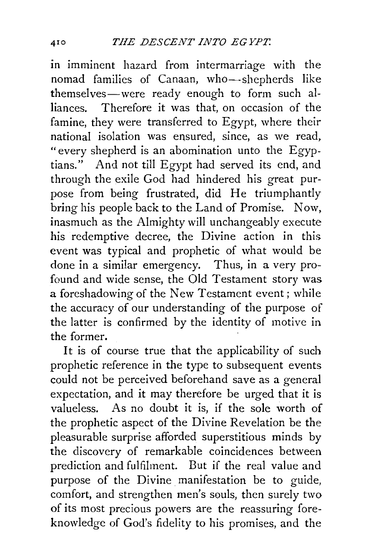in imminent hazard from intermarriage with the nomad families of Canaan, who-shepherds like themselves-were ready enough to form such al-<br>liances. Therefore it was that on occasion of the Therefore it was that, on occasion of the famine, they were transferred to Egypt, where their national isolation was ensured, since, as we read, "every shepherd is an abomination unto the Egyptians." And not till Egypt had served its end, and through the exile God had hindered his great purpose from being frustrated, did He triumphantly bring his people back to the Land of Promise. Now, inasmuch as the Almighty will unchangeably execute his redemptive decree, the Divine action in this event was typical and prophetic of what would be done in a similar emergency. Thus, in a very profound and wide sense, the Old Testament story was a foreshadowing of the New Testament event; while the accuracy of our understanding of the purpose of the latter is confirmed by the identity of motive in the former.

It is of course true that the applicability of such prophetic reference in the type to subsequent events could not be perceived beforehand save as a general expectation, and it may therefore be urged that it is valueless. As no doubt it is, if the sole worth of the prophetic aspect of the Divine Revelation be the pleasurable surprise afforded superstitious minds by the discovery of remarkable coincidences between prediction and fulfilment. But if the real value and purpose of the Divine manifestation be to guide, comfort, and strengthen men's souls, then surely two of its most precious powers are the reassuring foreknowledge of God's fidelity to his promises, and the